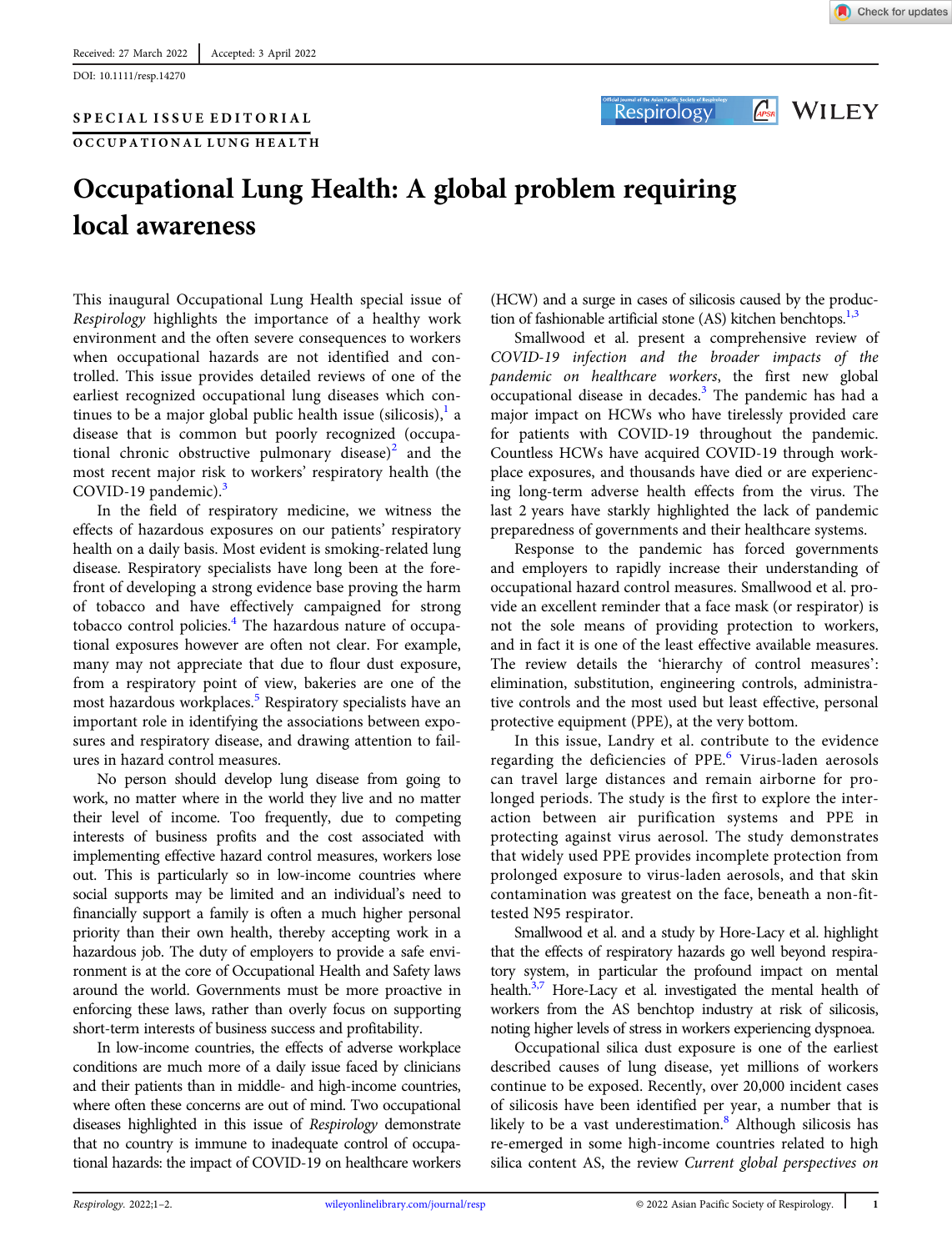### SPECIAL ISSUE EDITORIAL

OCCUPATIONAL LUNG HEALTH



Respirology

**APSR** WILEY

# Occupational Lung Health: A global problem requiring local awareness

This inaugural Occupational Lung Health special issue of Respirology highlights the importance of a healthy work environment and the often severe consequences to workers when occupational hazards are not identified and controlled. This issue provides detailed reviews of one of the earliest recognized occupational lung diseases which continues to be a major global public health issue (silicosis), $\frac{1}{2}$  $\frac{1}{2}$  $\frac{1}{2}$  a disease that is common but poorly recognized (occupa-tional chronic obstructive pulmonary disease)<sup>[2](#page-1-0)</sup> and the most recent major risk to workers' respiratory health (the COVID-19 pandemic). $3$ 

In the field of respiratory medicine, we witness the effects of hazardous exposures on our patients' respiratory health on a daily basis. Most evident is smoking-related lung disease. Respiratory specialists have long been at the forefront of developing a strong evidence base proving the harm of tobacco and have effectively campaigned for strong tobacco control policies.<sup>[4](#page-1-0)</sup> The hazardous nature of occupational exposures however are often not clear. For example, many may not appreciate that due to flour dust exposure, from a respiratory point of view, bakeries are one of the most hazardous workplaces.<sup>[5](#page-1-0)</sup> Respiratory specialists have an important role in identifying the associations between exposures and respiratory disease, and drawing attention to failures in hazard control measures.

No person should develop lung disease from going to work, no matter where in the world they live and no matter their level of income. Too frequently, due to competing interests of business profits and the cost associated with implementing effective hazard control measures, workers lose out. This is particularly so in low-income countries where social supports may be limited and an individual's need to financially support a family is often a much higher personal priority than their own health, thereby accepting work in a hazardous job. The duty of employers to provide a safe environment is at the core of Occupational Health and Safety laws around the world. Governments must be more proactive in enforcing these laws, rather than overly focus on supporting short-term interests of business success and profitability.

In low-income countries, the effects of adverse workplace conditions are much more of a daily issue faced by clinicians and their patients than in middle- and high-income countries, where often these concerns are out of mind. Two occupational diseases highlighted in this issue of Respirology demonstrate that no country is immune to inadequate control of occupational hazards: the impact of COVID-19 on healthcare workers

(HCW) and a surge in cases of silicosis caused by the production of fashionable artificial stone  $(AS)$  kitchen benchtops.<sup>1,3</sup>

Smallwood et al. present a comprehensive review of COVID-19 infection and the broader impacts of the pandemic on healthcare workers, the first new global  $\alpha$  occupational disease in decades.<sup>[3](#page-1-0)</sup> The pandemic has had a major impact on HCWs who have tirelessly provided care for patients with COVID-19 throughout the pandemic. Countless HCWs have acquired COVID-19 through workplace exposures, and thousands have died or are experiencing long-term adverse health effects from the virus. The last 2 years have starkly highlighted the lack of pandemic preparedness of governments and their healthcare systems.

Response to the pandemic has forced governments and employers to rapidly increase their understanding of occupational hazard control measures. Smallwood et al. provide an excellent reminder that a face mask (or respirator) is not the sole means of providing protection to workers, and in fact it is one of the least effective available measures. The review details the 'hierarchy of control measures': elimination, substitution, engineering controls, administrative controls and the most used but least effective, personal protective equipment (PPE), at the very bottom.

In this issue, Landry et al. contribute to the evidence regarding the deficiencies of PPE.<sup>[6](#page-1-0)</sup> Virus-laden aerosols can travel large distances and remain airborne for prolonged periods. The study is the first to explore the interaction between air purification systems and PPE in protecting against virus aerosol. The study demonstrates that widely used PPE provides incomplete protection from prolonged exposure to virus-laden aerosols, and that skin contamination was greatest on the face, beneath a non-fittested N95 respirator.

Smallwood et al. and a study by Hore-Lacy et al. highlight that the effects of respiratory hazards go well beyond respiratory system, in particular the profound impact on mental health.<sup>3,7</sup> Hore-Lacy et al. investigated the mental health of workers from the AS benchtop industry at risk of silicosis, noting higher levels of stress in workers experiencing dyspnoea.

Occupational silica dust exposure is one of the earliest described causes of lung disease, yet millions of workers continue to be exposed. Recently, over 20,000 incident cases of silicosis have been identified per year, a number that is likely to be a vast underestimation.<sup>[8](#page-1-0)</sup> Although silicosis has re-emerged in some high-income countries related to high silica content AS, the review Current global perspectives on